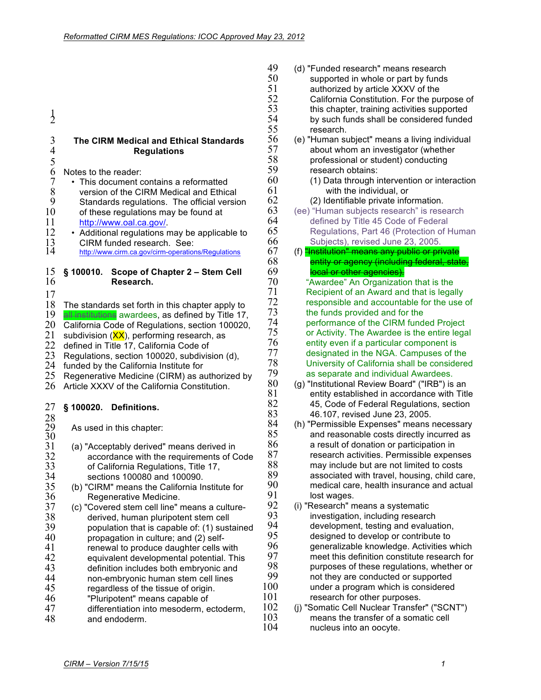|    |                                                                                                              | 51       | аι                        |
|----|--------------------------------------------------------------------------------------------------------------|----------|---------------------------|
|    |                                                                                                              | 52       | С                         |
|    |                                                                                                              | 53       | th                        |
|    | $\frac{1}{2}$                                                                                                | 54       | þ,                        |
|    |                                                                                                              | 55       | re                        |
|    | $\mathfrak{Z}$<br>The CIRM Medical and Ethical Standards                                                     | 56       | (e) "H                    |
|    | $\overline{4}$<br><b>Regulations</b>                                                                         | 57       | al                        |
|    | 5                                                                                                            | 58       | pı                        |
|    | 6<br>Notes to the reader:                                                                                    | 59       | re                        |
|    | 7<br>• This document contains a reformatted                                                                  | 60       | (1)                       |
|    | 8<br>version of the CIRM Medical and Ethical                                                                 | 61       |                           |
|    | 9<br>Standards regulations. The official version                                                             | 62       | (2)                       |
|    | 10<br>of these regulations may be found at                                                                   | 63       | (ee) "I                   |
|    | 11<br>http://www.oal.ca.gov/.                                                                                | 64<br>65 | d٥                        |
|    | 12<br>• Additional regulations may be applicable to                                                          | 66       | R                         |
|    | 13<br>CIRM funded research. See:<br>14                                                                       | 67       | S<br>(f) <mark>"In</mark> |
|    | http://www.cirm.ca.gov/cirm-operations/Regulations                                                           | 68       |                           |
|    | 15<br>§ 100010.<br>Scope of Chapter 2 - Stem Cell                                                            | 69       | eı<br>lө                  |
|    | 16<br>Research.                                                                                              | 70       | $A^{\mu}$                 |
|    |                                                                                                              | 71       | Re                        |
|    | 17<br>18                                                                                                     | 72       | res                       |
|    | The standards set forth in this chapter apply to<br>19<br>all institutions awardees, as defined by Title 17, | 73       | the                       |
|    | 20<br>California Code of Regulations, section 100020,                                                        | 74       | pe                        |
|    | 21<br>subdivision (XX), performing research, as                                                              | 75       | or.                       |
|    | 22<br>defined in Title 17, California Code of                                                                | 76       | en                        |
|    | 23<br>Regulations, section 100020, subdivision (d),                                                          | 77       | de                        |
|    | 24<br>funded by the California Institute for                                                                 | 78       | Un                        |
|    | 25<br>Regenerative Medicine (CIRM) as authorized by                                                          | 79       | as                        |
|    | 26<br>Article XXXV of the California Constitution.                                                           | 80       | $(g)$ "In                 |
|    |                                                                                                              | 81       | eı                        |
|    | 27<br>§ 100020.<br><b>Definitions.</b>                                                                       | 82       | 4                         |
|    | 28                                                                                                           | 83       | 4                         |
|    | 29<br>As used in this chapter:                                                                               | 84       | $(h)$ "P                  |
|    | 30                                                                                                           | 85       | aı                        |
|    | 31<br>(a) "Acceptably derived" means derived in                                                              | 86       | а                         |
|    | 32<br>accordance with the requirements of Code                                                               | 87       | re                        |
|    | 33<br>of California Regulations, Title 17,                                                                   | 88       | m                         |
|    | 34<br>sections 100080 and 100090.                                                                            | 89<br>90 | as                        |
|    | 35<br>(b) "CIRM" means the California Institute for                                                          | 91       | m                         |
|    | 36<br>Regenerative Medicine.                                                                                 | 92       | lo<br>$(i)$ "Re           |
|    | 37<br>(c) "Covered stem cell line" means a culture-                                                          | 93       | in                        |
|    | 38<br>derived, human pluripotent stem cell<br>39                                                             | 94       | d٥                        |
|    | population that is capable of: (1) sustained<br>40                                                           | 95       | d٥                        |
|    | propagation in culture; and (2) self-<br>41                                                                  | 96       | g٥                        |
|    | renewal to produce daughter cells with<br>42                                                                 | 97       | m                         |
|    | equivalent developmental potential. This<br>43<br>definition includes both embryonic and                     | 98       | pι                        |
|    | 44<br>non-embryonic human stem cell lines                                                                    | 99       | n٥                        |
|    | 45<br>regardless of the tissue of origin.                                                                    | 100      | uı                        |
|    | "Pluripotent" means capable of                                                                               | 101      | re                        |
|    |                                                                                                              |          |                           |
| 46 | 47<br>differentiation into mesoderm, ectoderm,                                                               | 102      | $(j)$ "So                 |

- 49 (d) "Funded research" means research<br>50 supported in whole or part by funds supported in whole or part by funds athorized by article XXXV of the alifornia Constitution. For the purpose of is chapter, training activities supported 54 by such funds shall be considered funded search. uman subject" means a living individual
	- oout whom an investigator (whether ofessional or student) conducting search obtains:
		- ) Data through intervention or interaction with the individual, or
		- () Identifiable private information.
	- Human subjects research" is research efined by Title 45 Code of Federal egulations, Part 46 (Protection of Human ubjects), revised June 23, 2005.
	- stitution" means any public or private ntity or agency (including federal, state, cal or other agencies). wardee" An Organization that is the cipient of an Award and that is legally sponsible and accountable for the use of

**funds provided and for the** rformance of the CIRM funded Project Activity. The Awardee is the entire legal tity even if a particular component is signated in the NGA. Campuses of the iversity of California shall be considered separate and individual Awardees.

- stitutional Review Board" ("IRB") is an ntity established in accordance with Title 5, Code of Federal Regulations, section 83 46.107, revised June 23, 2005.
- ermissible Expenses" means necessary nd reasonable costs directly incurred as result of donation or participation in search activities. Permissible expenses ay include but are not limited to costs ssociated with travel, housing, child care, edical care, health insurance and actual st wages.
- esearch" means a systematic vestigation, including research evelopment, testing and evaluation, esigned to develop or contribute to eneralizable knowledge. Activities which eet this definition constitute research for 98 purposes of these regulations, whether or ot they are conducted or supported nder a program which is considered search for other purposes.
- matic Cell Nuclear Transfer" ("SCNT") 103 means the transfer of a somatic cell<br>104 mucleus into an oocyte. nucleus into an oocyte.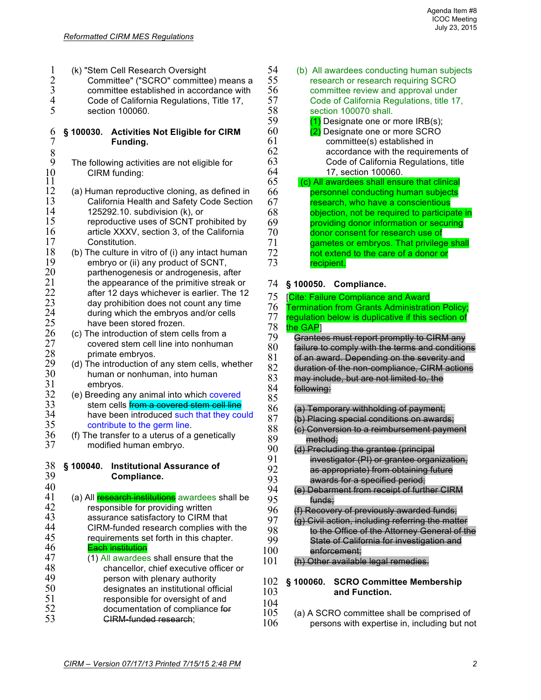| $\mathbf{1}$<br>(k) "Stem Cell Research Oversight                                          | 54                  | (                         |
|--------------------------------------------------------------------------------------------|---------------------|---------------------------|
| Committee" ("SCRO" committee) means a                                                      | 55                  |                           |
| $\frac{2}{3}$<br>4 5<br>committee established in accordance with                           | 56                  |                           |
| Code of California Regulations, Title 17,                                                  | 57                  |                           |
| section 100060.                                                                            | 58                  |                           |
|                                                                                            | 59                  |                           |
| 6<br><b>Activities Not Eligible for CIRM</b><br>$§$ 100030.                                | 60                  |                           |
| $\overline{7}$<br>Funding.                                                                 | 61                  |                           |
|                                                                                            | 62                  |                           |
| $\frac{8}{9}$<br>The following activities are not eligible for                             | 63                  |                           |
| 10<br>CIRM funding:                                                                        | 64                  |                           |
| 11                                                                                         | 65                  |                           |
| 12<br>(a) Human reproductive cloning, as defined in                                        | 66                  |                           |
| 13<br>California Health and Safety Code Section                                            | 67                  |                           |
| 14<br>125292.10. subdivision (k), or                                                       | 68                  |                           |
| 15<br>reproductive uses of SCNT prohibited by                                              | 69                  |                           |
| 16<br>article XXXV, section 3, of the California                                           | 70                  |                           |
| 17<br>Constitution.                                                                        | 71                  |                           |
| 18<br>(b) The culture in vitro of (i) any intact human                                     | 72                  |                           |
| 19<br>embryo or (ii) any product of SCNT,                                                  | 73                  |                           |
| 20<br>parthenogenesis or androgenesis, after                                               |                     |                           |
| 21<br>the appearance of the primitive streak or                                            | 74                  | § 1                       |
| 22<br>after 12 days whichever is earlier. The 12                                           | 75                  | [ <mark>Cit</mark>        |
| 23<br>day prohibition does not count any time                                              | 76                  | Ter                       |
| 24<br>during which the embryos and/or cells                                                | 77                  | reg                       |
| 25<br>have been stored frozen.                                                             | 78                  | the                       |
| 26<br>(c) The introduction of stem cells from a                                            | 79                  | e                         |
| 27<br>covered stem cell line into nonhuman                                                 | 80                  | fa                        |
| 28<br>primate embryos.                                                                     | 81                  | $\Theta$                  |
| 29<br>(d) The introduction of any stem cells, whether                                      | 82                  | d                         |
| 30<br>human or nonhuman, into human                                                        | 83                  | n                         |
| 31<br>embryos.                                                                             | 84                  | f                         |
| 32<br>(e) Breeding any animal into which covered                                           | 85                  |                           |
| 33<br>stem cells from a covered stem cell line                                             | 86                  | $\overline{\mathfrak{t}}$ |
| 34<br>have been introduced such that they could                                            | 87                  | $\ddot{\mathrm{t}}$       |
| 35<br>contribute to the germ line.                                                         | 88                  | $\overline{\mathcal{H}}$  |
| 36<br>(f) The transfer to a uterus of a genetically<br>37                                  | 89                  |                           |
| modified human embryo.                                                                     | 90                  | $\overline{\mathcal{H}}$  |
| 38                                                                                         | 91                  |                           |
| § 100040.<br><b>Institutional Assurance of</b><br>39<br>Compliance.                        | 92                  |                           |
| 40                                                                                         | 93                  |                           |
| 41                                                                                         | 94                  | $\overline{\mathcal{H}}$  |
| (a) All research institutions awardees shall be<br>42<br>responsible for providing written | 95                  |                           |
| 43<br>assurance satisfactory to CIRM that                                                  | 96                  | $\theta$                  |
| 44<br>CIRM-funded research complies with the                                               | 97                  | $\overline{\mathcal{F}}$  |
| 45<br>requirements set forth in this chapter.                                              | 98                  |                           |
| 46<br><b>Each institution</b>                                                              | 99                  |                           |
| 47<br>(1) All awardees shall ensure that the                                               | 100                 |                           |
| 48<br>chancellor, chief executive officer or                                               | 101                 | $\theta$                  |
| 49<br>person with plenary authority                                                        |                     |                           |
| 50<br>designates an institutional official                                                 | 102                 | § 1⊧                      |
| 51<br>responsible for oversight of and                                                     | 103                 |                           |
| 52<br>documentation of compliance for                                                      | 104                 |                           |
| 53<br><b>GIRM-funded research:</b>                                                         | 105<br>1 $\Omega$ C | (ć                        |
|                                                                                            |                     |                           |

- (b) All awardees conducting human subjects research or research requiring SCRO committee review and approval under 57 Code of California Regulations, title 17, section 100070 shall.
	- $(1)$  Designate one or more IRB(s); (2) Designate one or more SCRO committee(s) established in accordance with the requirements of Code of California Regulations, title 64 17, section 100060.
	- 65 (c) All awardees shall ensure that clinical personnel conducting human subjects research, who have a conscientious objection, not be required to participate in providing donor information or securing donor consent for research use of gametes or embryos. That privilege shall not extend to the care of a donor or recipient.

## 74 **§ 100050. Compliance.**

- e: Failure Compliance and Award mination from Grants Administration Policy;
- ulation below is duplicative if this section of

## GAP<sub>1</sub>

**Frantees must report promptly to CIRM any** ailure to comply with the terms and conditions f an award. Depending on the severity and uration of the non-compliance, CIRM actions ay include, but are not limited to, the **Howing:** 

- a) Temporary withholding of payment; a) Placing special conditions on awards; s) Conversion to a reimbursement payment
- method; d) Precluding the grantee (principal investigator (PI) or grantee organization, as appropriate) from obtaining future
- awards for a specified period; e) Debarment from receipt of further CIRM
- funds:
- Recovery of previously awarded funds;
- g) Civil action, including referring the matter to the Office of the Attorney General of the State of California for investigation and enforcement:
- h) Other available legal remedies.

## 102 **§ 100060. SCRO Committee Membership**  and Function.

105 (a) A SCRO committee shall be comprised of 106 (a) persons with expertise in, including but no persons with expertise in, including but not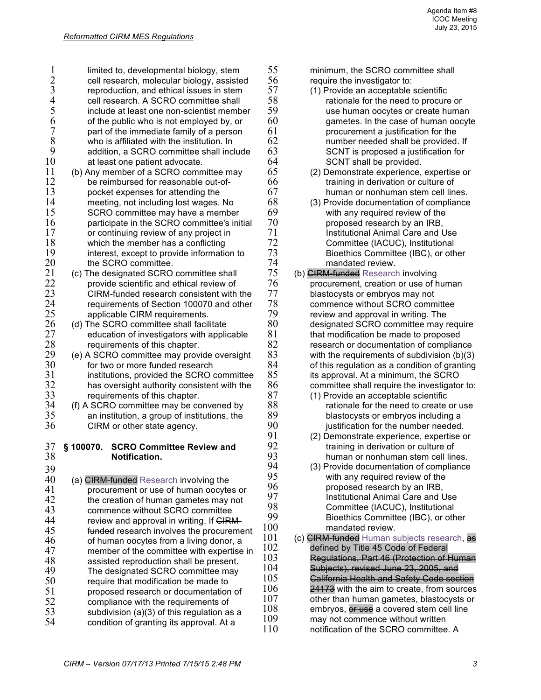| 1        | limited to, developmental biology, stem                                      | 55         |
|----------|------------------------------------------------------------------------------|------------|
|          | cell research, molecular biology, assisted                                   | 56         |
| 2 3 4 5  | reproduction, and ethical issues in stem                                     | 57         |
|          | cell research. A SCRO committee shall                                        | 58         |
|          | include at least one non-scientist member                                    | 59         |
| 6        | of the public who is not employed by, or                                     | 60         |
| 7        | part of the immediate family of a person                                     | 61         |
| 8        | who is affiliated with the institution. In                                   | 62         |
| 9        | addition, a SCRO committee shall include                                     | 63         |
| 10       | at least one patient advocate.                                               | 64         |
| 11       | (b) Any member of a SCRO committee may                                       | 65         |
| 12       | be reimbursed for reasonable out-of-                                         | 66         |
| 13       | pocket expenses for attending the                                            | 67         |
| 14       | meeting, not including lost wages. No                                        | 68         |
| 15       | SCRO committee may have a member                                             | 69<br>70   |
| 16<br>17 | participate in the SCRO committee's initial                                  | 71         |
| 18       | or continuing review of any project in<br>which the member has a conflicting | 72         |
| 19       | interest, except to provide information to                                   | 73         |
| 20       | the SCRO committee.                                                          | 74         |
| 21       | (c) The designated SCRO committee shall                                      | 75         |
| 22       | provide scientific and ethical review of                                     | 76         |
| 23       | CIRM-funded research consistent with the                                     | 77         |
| 24       | requirements of Section 100070 and other                                     | 78         |
| 25       | applicable CIRM requirements.                                                | 79         |
| 26       | (d) The SCRO committee shall facilitate                                      | 80         |
| 27       | education of investigators with applicable                                   | 81         |
| 28       | requirements of this chapter.                                                | 82         |
| 29       | (e) A SCRO committee may provide oversight                                   | 83         |
| 30       | for two or more funded research                                              | 84         |
| 31       | institutions, provided the SCRO committee                                    | 85         |
| 32       | has oversight authority consistent with the                                  | 86         |
| 33<br>34 | requirements of this chapter.                                                | 87<br>88   |
| 35       | (f) A SCRO committee may be convened by                                      | 89         |
| 36       | an institution, a group of institutions, the<br>CIRM or other state agency.  | 90         |
|          |                                                                              | 91         |
| 37       | § 100070.<br><b>SCRO Committee Review and</b>                                | 92         |
| 38       | <b>Notification.</b>                                                         | 93         |
| 39       |                                                                              | 94         |
| 40       | (a) CIRM-funded Research involving the                                       | 95         |
| 41       | procurement or use of human oocytes or                                       | 96         |
| 42       | the creation of human gametes may not                                        | 97         |
| 43       | commence without SCRO committee                                              | 98         |
| 44       | review and approval in writing. If CIRM-                                     | 99         |
| 45       | funded research involves the procurement                                     | 100        |
| 46       | of human oocytes from a living donor, a                                      | 101        |
| 47       | member of the committee with expertise in                                    | 102        |
| 48       | assisted reproduction shall be present.                                      | 103        |
| 49       | The designated SCRO committee may                                            | 104        |
| 50       | require that modification be made to                                         | 105<br>106 |
| 51       | proposed research or documentation of                                        | 107        |
| 52       | compliance with the requirements of                                          | 108        |
| 53       | subdivision (a)(3) of this regulation as a                                   | 109        |
| 54       | condition of granting its approval. At a                                     | 11 $\cap$  |

minimum, the SCRO committee shall require the investigator to:

- 57 (1) Provide an acceptable scientific rationale for the need to procure or use human oocytes or create human gametes. In the case of human oocyte procurement a justification for the number needed shall be provided. If SCNT is proposed a justification for SCNT shall be provided.
	- (2) Demonstrate experience, expertise or training in derivation or culture of human or nonhuman stem cell lines.
	- (3) Provide documentation of compliance with any required review of the proposed research by an IRB, Institutional Animal Care and Use Committee (IACUC), Institutional Bioethics Committee (IBC), or other mandated review.
- (b) CIRM-funded Research involving procurement, creation or use of human blastocysts or embryos may not commence without SCRO committee review and approval in writing. The designated SCRO committee may require that modification be made to proposed research or documentation of compliance with the requirements of subdivision  $(b)(3)$ of this regulation as a condition of granting its approval. At a minimum, the SCRO committee shall require the investigator to: (1) Provide an acceptable scientific
	- rationale for the need to create or use blastocysts or embryos including a justification for the number needed.
	- (2) Demonstrate experience, expertise or training in derivation or culture of human or nonhuman stem cell lines.
	- (3) Provide documentation of compliance with any required review of the proposed research by an IRB, Institutional Animal Care and Use Committee (IACUC), Institutional Bioethics Committee (IBC), or other mandated review.
- (c) CIRM-funded Human subjects research, as defined by Title 45 Gode of Federal Regulations, Part 46 (Protection of Human Subjects), revised June 23, 2005, and California Health and Safety Code section 24173 with the aim to create, from sources other than human gametes, blastocysts or embryos, or use a covered stem cell line may not commence without written 110 notification of the SCRO committee. A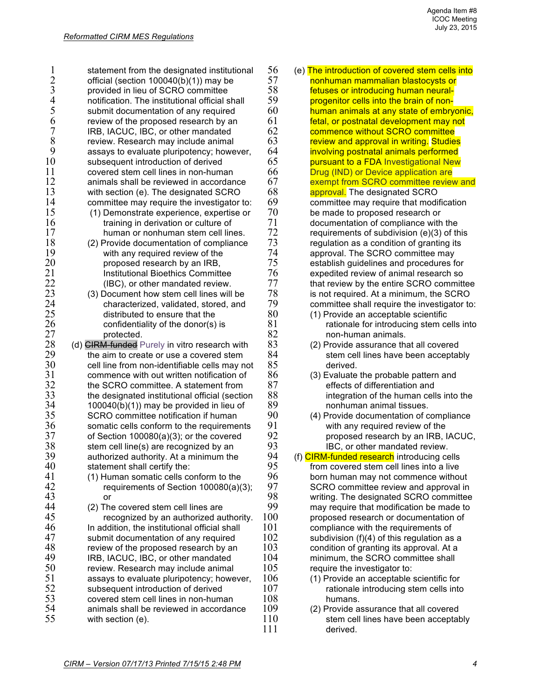| 1                   | statement from the designated institutional          | 56         |
|---------------------|------------------------------------------------------|------------|
|                     | official (section 100040(b)(1)) may be               | 57         |
|                     | provided in lieu of SCRO committee                   | 58         |
| $\frac{2}{3}$<br>45 | notification. The institutional official shall       | 59         |
|                     | submit documentation of any required                 | 60         |
| 6                   | review of the proposed research by an                | 61         |
| 7                   | IRB, IACUC, IBC, or other mandated                   | 62         |
| 8                   | review. Research may include animal                  | 63         |
| 9                   | assays to evaluate pluripotency; however,            | 64         |
| 10                  | subsequent introduction of derived                   | 65         |
| 11                  | covered stem cell lines in non-human                 | 66         |
| 12                  | animals shall be reviewed in accordance              | 67         |
| 13                  | with section (e). The designated SCRO                | 68         |
| 14                  | committee may require the investigator to:           | 69         |
| 15                  | (1) Demonstrate experience, expertise or             | 70         |
| 16                  | training in derivation or culture of                 | 71         |
| 17                  | human or nonhuman stem cell lines.                   | 72         |
| 18                  | (2) Provide documentation of compliance              | 73         |
| 19                  | with any required review of the                      | 74         |
| 20                  | proposed research by an IRB,                         | 75         |
| 21                  | <b>Institutional Bioethics Committee</b>             | 76         |
| 22                  | (IBC), or other mandated review.                     | 77         |
| 23                  | (3) Document how stem cell lines will be             | 78         |
| 24                  | characterized, validated, stored, and                | 79         |
| 25                  | distributed to ensure that the                       | 80         |
| 26                  | confidentiality of the donor(s) is                   | 81         |
| 27                  | protected.                                           | 82         |
| 28                  | (d) <b>CIRM-funded</b> Purely in vitro research with | 83         |
| 29                  | the aim to create or use a covered stem              | 84         |
| 30                  | cell line from non-identifiable cells may not        | 85         |
| 31                  | commence with out written notification of            | 86         |
| 32                  | the SCRO committee. A statement from                 | 87         |
| 33                  | the designated institutional official (section       | 88         |
| 34                  | 100040(b)(1)) may be provided in lieu of             | 89         |
| 35                  | SCRO committee notification if human                 | 90         |
| 36                  | somatic cells conform to the requirements            | 91         |
| 37                  | of Section 100080(a)(3); or the covered              | 92         |
| 38                  | stem cell line(s) are recognized by an               | 93         |
| 39                  | authorized authority. At a minimum the               | 94         |
| 40                  | statement shall certify the:                         | 95         |
| 41                  | (1) Human somatic cells conform to the               | 96         |
| 42                  | requirements of Section 100080(a)(3);                | 97         |
| 43                  | or                                                   | 98         |
| 44                  | (2) The covered stem cell lines are                  | 99         |
| 45                  | recognized by an authorized authority.               | 100        |
| 46                  | In addition, the institutional official shall        | 101        |
| 47                  | submit documentation of any required                 | 102        |
| 48                  | review of the proposed research by an                | 103        |
| 49                  | IRB, IACUC, IBC, or other mandated                   | 104        |
| 50                  | review. Research may include animal                  | 105        |
| 51                  | assays to evaluate pluripotency; however,            | 106        |
| 52                  | subsequent introduction of derived                   | 107        |
| 53                  | covered stem cell lines in non-human                 | 108        |
| 54                  | animals shall be reviewed in accordance              | 109        |
| 55                  | with section (e).                                    | 110<br>111 |
|                     |                                                      |            |

| 56  | (e) The introduction of covered stem cells into |
|-----|-------------------------------------------------|
| 57  | nonhuman mammalian blastocysts or               |
| 58  | fetuses or introducing human neural-            |
| 59  | progenitor cells into the brain of non-         |
| 60  | human animals at any state of embryonic,        |
| 61  | fetal, or postnatal development may not         |
| 62  | commence without SCRO committee                 |
| 63  | review and approval in writing. Studies         |
| 64  | involving postnatal animals performed           |
| 65  | pursuant to a FDA Investigational New           |
| 66  | Drug (IND) or Device application are            |
| 67  | exempt from SCRO committee review and           |
| 68  | approval. The designated SCRO                   |
| 69  | committee may require that modification         |
| 70  | be made to proposed research or                 |
| 71  | documentation of compliance with the            |
| 72  | requirements of subdivision (e)(3) of this      |
| 73  | regulation as a condition of granting its       |
| 74  | approval. The SCRO committee may                |
| 75  | establish guidelines and procedures for         |
| 76  | expedited review of animal research so          |
| 77  | that review by the entire SCRO committee        |
| 78  | is not required. At a minimum, the SCRO         |
| 79  | committee shall require the investigator to:    |
| 80  | (1) Provide an acceptable scientific            |
| 81  | rationale for introducing stem cells into       |
| 82  | non-human animals.                              |
| 83  | (2) Provide assurance that all covered          |
| 84  | stem cell lines have been acceptably            |
| 85  | derived.                                        |
| 86  | (3) Evaluate the probable pattern and           |
| 87  | effects of differentiation and                  |
| 88  | integration of the human cells into the         |
| 89  | nonhuman animal tissues.                        |
| 90  | (4) Provide documentation of compliance         |
| 91  | with any required review of the                 |
| 92  | proposed research by an IRB, IACUC,             |
| 93  | IBC, or other mandated review.                  |
| 94  | (f) CIRM-funded research introducing cells      |
| 95  | from covered stem cell lines into a live        |
| 96  | born human may not commence without             |
| 97  | SCRO committee review and approval in           |
| 98  | writing. The designated SCRO committee          |
| 99  | may require that modification be made to        |
| 100 | proposed research or documentation of           |
| 101 | compliance with the requirements of             |
| 102 | subdivision (f)(4) of this regulation as a      |
| 103 | condition of granting its approval. At a        |
| 104 | minimum, the SCRO committee shall               |
| 105 | require the investigator to:                    |
| 106 | (1) Provide an acceptable scientific for        |

- rationale introducing stem cells into humans.
- (2) Provide assurance that all covered stem cell lines have been acceptably 111 derived.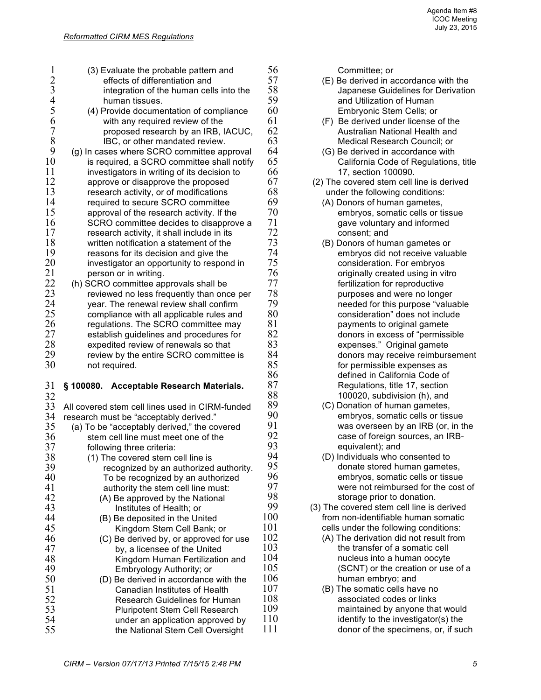|          | (3) Evaluate the probable pattern and                              | $\frac{5}{5}$<br>$\frac{5}{5}$ |
|----------|--------------------------------------------------------------------|--------------------------------|
| 2 3 4 5  | effects of differentiation and                                     |                                |
|          | integration of the human cells into the                            |                                |
|          | human tissues.                                                     |                                |
|          | (4) Provide documentation of compliance                            | 6                              |
| 6<br>7   | with any required review of the                                    | 6                              |
|          | proposed research by an IRB, IACUC,                                | 6                              |
| 8        | IBC, or other mandated review.                                     | 6                              |
| 9        | (g) In cases where SCRO committee approval                         | 6                              |
| 10       | is required, a SCRO committee shall notify                         | 6                              |
| 11       | investigators in writing of its decision to                        | 6                              |
| 12       | approve or disapprove the proposed                                 | 6                              |
| 13       | research activity, or of modifications                             | 6                              |
| 14       | required to secure SCRO committee                                  | 6                              |
| 15       | approval of the research activity. If the                          | 7                              |
| 16       | SCRO committee decides to disapprove a                             | $\frac{7}{7}$                  |
| 17       | research activity, it shall include in its                         |                                |
| 18       | written notification a statement of the                            | $\overline{7}$                 |
| 19       | reasons for its decision and give the                              | $\overline{7}$                 |
| 20       | investigator an opportunity to respond in                          |                                |
| 21       | person or in writing.                                              |                                |
| 22       | (h) SCRO committee approvals shall be                              | フフフファ                          |
| 23       | reviewed no less frequently than once per                          |                                |
| 24       | year. The renewal review shall confirm                             |                                |
| 25       | compliance with all applicable rules and                           | 8                              |
| 26       | regulations. The SCRO committee may                                |                                |
| 27       | establish guidelines and procedures for                            | $\frac{8}{8}$                  |
| 28       | expedited review of renewals so that                               |                                |
| 29       | review by the entire SCRO committee is                             |                                |
| 30       | not required.                                                      |                                |
|          |                                                                    |                                |
| 31       | <b>Acceptable Research Materials.</b><br>§ 100080.                 |                                |
| 32       |                                                                    |                                |
|          | All covered stem cell lines used in CIRM-funded                    |                                |
| 33       |                                                                    | 8888888                        |
|          |                                                                    |                                |
| 34       | research must be "acceptably derived."                             |                                |
| 35       | (a) To be "acceptably derived," the covered                        | 9<br>9<br>9                    |
| 36       | stem cell line must meet one of the                                | 9                              |
| 37       | following three criteria:                                          | 9                              |
| 38       | (1) The covered stem cell line is                                  |                                |
| 39       | recognized by an authorized authority.                             | 9                              |
| 40       | To be recognized by an authorized                                  | 9                              |
| 41       | authority the stem cell line must:                                 |                                |
| 42       | (A) Be approved by the National                                    | 9<br>9<br>9                    |
| 43       | Institutes of Health; or                                           | 10                             |
| 44       | (B) Be deposited in the United                                     |                                |
| 45       | Kingdom Stem Cell Bank; or                                         | 10<br>10                       |
| 46       | (C) Be derived by, or approved for use                             |                                |
| 47       | by, a licensee of the United                                       | 10<br>10                       |
| 48       | Kingdom Human Fertilization and                                    | 10                             |
| 49       | Embryology Authority; or                                           | 10                             |
| 50       | (D) Be derived in accordance with the                              |                                |
| 51       | Canadian Institutes of Health                                      | 10<br>10                       |
| 52       | <b>Research Guidelines for Human</b>                               |                                |
| 53<br>54 | Pluripotent Stem Cell Research<br>under an application approved by | 10<br>11                       |

- 6 **Committee; or**<br>7 **(E)** Be derived in a 57 (E) Be derived in accordance with the 8 **Symbol September Guidelines for Derivation**<br>5 **Japanese Guidelines for Derivation** 59 and Utilization of Human 60 Embryonic Stem Cells; or<br>1 (F) Be derived under license
- 1 (F) Be derived under license of the<br>2 Australian National Health and 2 **Australian National Health and**<br>3 **Australian Health Andrew Medical Research Council**; or 3 Medical Research Council; or<br>4 (G) Be derived in accordance with
- 4 (G) Be derived in accordance with<br>5 California Code of Regulations 65 California Code of Regulations, title 66 17, section 100090.
- 7 (2) The covered stem cell line is derived<br>8 under the following conditions: 8 **behavior under the following conditions:**<br>9 **68 CAL DODOTS** of human gametes
- 9 (A) Donors of human gametes,<br>0 (embryos, somatic cells or times) 0 embryos, somatic cells or tissue<br>1 eave voluntary and informed 1 gave voluntary and informed<br>2 consent: and
- 2 consent; and<br>3 (B) Donors of hur 73 (B) Donors of human gametes or 4 embryos did not receive valuable<br>5 consideration. For embryos 5 consideration. For embryos<br>6 coriginally created using in view 6 **6** originally created using in vitro<br>7 **buying the fertilization for reproductive** 7 **fertilization for reproductive**<br>8 **burposes and were no long** 8 **188 purposes and were no longer**<br>9 **peeded for this purpose "value**" 9 **199 needed for this purpose "valuable**<br>0 **needed for this purpose "valuable**" does not include consideration" does not include 1 payments to original gamete<br>2 donors in excess of "permiss" 2 donors in excess of "permissible<br>3 expenses." Original gamete 83 expenses." Original gamete 4 donors may receive reimbursement<br>5 for permissible expenses as 5 for permissible expenses as<br>6 for permissible expenses as<br>6 defined in California Code of 86 defined in California Code of 8 Regulations, title 17, section<br>8 100020, subdivision (h), and 8 100020, subdivision (h), and<br>9 (C) Donation of human gametes.
- 9 (C) Donation of human gametes,<br>0 (embryos, somatic cells or tiss 0 embryos, somatic cells or tissue<br>1 was overseen by an IRB (or, in t 1 was overseen by an IRB (or, in the<br>2 case of foreign sources, an IRB- $\frac{2}{3}$  case of foreign sources, an IRB-<br> $\frac{3}{3}$ 3 equivalent); and<br>4 (D) Individuals who d
- 4 (D) Individuals who consented to<br>5 donate stored human gamete 5 donate stored human gametes,<br>6 embrvos, somatic cells or tissue 6 embryos, somatic cells or tissue<br>7 were not reimbursed for the cost 7 were not reimbursed for the cost of<br>8 storage prior to donation. 8 storage prior to donation.<br>9 (3) The covered stem cell line is
- 9 (3) The covered stem cell line is derived<br>0 from non-identifiable human somatic 0 from non-identifiable human somatic<br>1 cells under the following conditions: cells under the following conditions:
- $2$  (A) The derivation did not result from<br>3 the transfer of a somatic cell 103 the transfer of a somatic cell<br>4 mucleus into a human oocyte 4 mucleus into a human oocyte<br>5 (SCNT) or the creation or use  $105$  (SCNT) or the creation or use of a<br>6 human embryo: and
- 6 human embryo; and<br>7 (B) The somatic cells hav 107 (B) The somatic cells have no<br>8 associated codes or links 108 **8** associated codes or links<br>
108 **paintained** by anyone that 109 maintained by anyone that would  $identify$  to the investigator(s) the 111 donor of the specimens, or, if such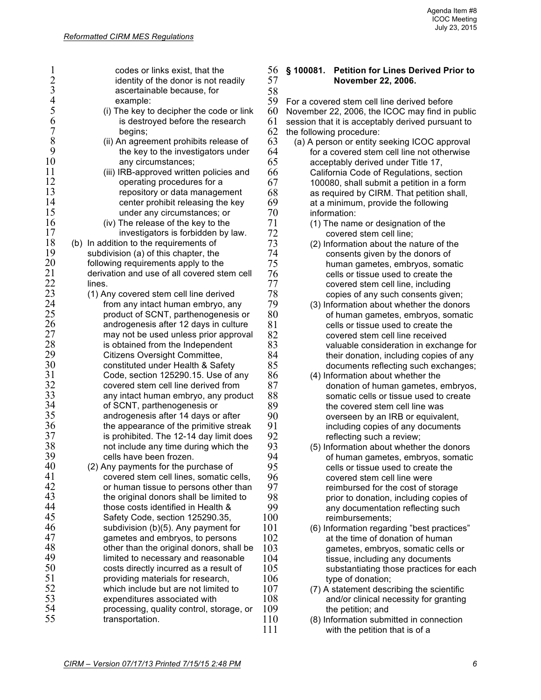1 codes or links exist, that the<br>
2 identity of the donor is not re<br>
3 ascertainable because, for identity of the donor is not readily 3 ascertainable because, for 4 example:<br>5 (i) The key to 5 (i) The key to decipher the code or link<br>6 is destroyed before the research 6 is destroyed before the research<br>7 begins; 7 begins;<br>8 (ii) An agree 8 (ii) An agreement prohibits release of<br>9 the key to the investigators under 9 the key to the investigators under<br>10 any circumstances: 10 any circumstances;<br>11 (iii) IRB-approved writte 11 (iii) IRB-approved written policies and<br>12 operating procedures for a 12 operating procedures for a<br>13 metal operation of data manager 13 **13** repository or data management<br>14 *center prohibit releasing the key* 14 center prohibit releasing the key<br>15 under any circumstances: or under any circumstances; or 16 (iv) The release of the key to the 17 17 investigators is forbidden by law.<br>18 (b) In addition to the requirements of  $18$  (b) In addition to the requirements of 19 subdivision (a) of this chapter, the 19 subdivision (a) of this chapter, the<br>20 following requirements apply to the 20 following requirements apply to the<br>21 derivation and use of all covered stre  $21$  derivation and use of all covered stem cell<br> $22$  lines. 22 lines.<br>23 (1) Ar  $23$  (1) Any covered stem cell line derived<br> $24$  from any intact human embryo, an 24 from any intact human embryo, any<br>25 product of SCNT, parthenogenesis o  $25$  product of SCNT, parthenogenesis or androgenesis after 12 days in culture 26 androgenesis after 12 days in culture  $27$  may not be used unless prior approval  $28$  is obtained from the Independent 28 is obtained from the Independent<br>29 Citizens Oversight Committee. 29 Citizens Oversight Committee, 30 **constituted under Health & Safety**<br>31 **Code. section 125290.15. Use of** a Code, section 125290.15. Use of any 32 covered stem cell line derived from<br>33 any intact human embryo, any prod 33 any intact human embryo, any product<br>34 of SCNT, parthenogenesis or 34 of SCNT, parthenogenesis or 35 **androgenesis after 14 days or after**<br>36 **blue and the annearance of the primitive stre** 36 the appearance of the primitive streak<br>37 is prohibited. The 12-14 day limit does is prohibited. The 12-14 day limit does 38 not include any time during which the 39 cells have been frozen.  $39$  cells have been frozen.<br> $40$  (2) Any payments for the pu 40 (2) Any payments for the purchase of<br>41 covered stem cell lines, somatic c 41 covered stem cell lines, somatic cells,<br>42 or human tissue to persons other than 42 or human tissue to persons other than<br>43 the original donors shall be limited to  $\frac{43}{44}$  the original donors shall be limited to  $\frac{44}{4}$ 44 those costs identified in Health &<br>45 Safety Code, section 125290.35. Safety Code, section 125290.35,  $46$  subdivision (b)(5). Any payment for 47 gametes and embryos, to persons<br>48 for than the original donors, shall other than the original donors, shall be 49 limited to necessary and reasonable<br>50 costs directly incurred as a result of 50 costs directly incurred as a result of<br>51 conviding materials for research. 51 **providing materials for research,**<br>52 which include but are not limited 52 which include but are not limited to<br>53 expenditures associated with 53 expenditures associated with<br>54 **beical** processing, quality control, ste 54 processing, quality control, storage, or<br>55 transportation. transportation.

## 56 **§ 100081. Petition for Lines Derived Prior to**  57 **November 22, 2006.**

58<br>59 59 For a covered stem cell line derived before<br>60 November 22, 2006, the ICOC may find in 60 November 22, 2006, the ICOC may find in public  $61$  session that it is acceptably derived pursuant to  $62$  the following procedure: 62 the following procedure:<br>63 (a) A person or entity s

- 63 (a) A person or entity seeking ICOC approval  $64$  for a covered stem cell line not otherwise<br> $65$  acceptably derived under Title 17. acceptably derived under Title 17, 66 California Code of Regulations, section 67 100080, shall submit a petition in a form<br>68 as required by CIRM. That petition shall, as required by CIRM. That petition shall,  $69$  at a minimum, provide the following<br> $70$  information: 70 information:<br>71 (1) The nam
- $71$  (1) The name or designation of the covered stem cell line:  $72$  covered stem cell line;<br> $73$  (2) Information about the n
- 73 (2) Information about the nature of the consents given by the donors of 74 consents given by the donors of 75 human gametes, embryos, somatic<br>76 cells or tissue used to create the 76 cells or tissue used to create the<br>77 covered stem cell line, including 77 covered stem cell line, including 78 copies of any such consents given;<br>79 (3) Information about whether the donor
- 79 (3) Information about whether the donors<br>80 of human gametes, embryos, somatic of human gametes, embryos, somatic 81 cells or tissue used to create the<br>82 covered stem cell line received 82 **b** covered stem cell line received<br>83 valuable consideration in excha 83 valuable consideration in exchange for<br>84 their donation, including copies of any 84 their donation, including copies of any<br>85 documents reflecting such exchanges: documents reflecting such exchanges;
- 86 (4) Information about whether the<br>87 (donation of human gametes. 87 donation of human gametes, embryos,<br>88 somatic cells or tissue used to create 88 somatic cells or tissue used to create<br>89 between the covered stem cell line was  $89$  the covered stem cell line was<br>90 overseen by an IRB or equival 90 overseen by an IRB or equivalent,<br>91 only including copies of any documents 91 including copies of any documents<br>92 **included** reflecting such a review:  $92$  reflecting such a review;<br> $93$  (5) Information about whethe
- 93 (5) Information about whether the donors<br>94 of human gametes embryos somatic 94 of human gametes, embryos, somatic<br>95 cells or tissue used to create the 95 cells or tissue used to create the<br>96 covered stem cell line were 96 covered stem cell line were<br>97 ceimbursed for the cost of s 97 **reimbursed for the cost of storage**<br>98 **reading organization** including copies 98 **prior to donation, including copies of** 99 99 any documentation reflecting such<br>100 reimbursements: reimbursements:
- 101 (6) Information regarding "best practices" 102 at the time of donation of human<br>103 cametes embryos somatic cells 103 gametes, embryos, somatic cells or<br>104 tissue, including any documents 104 tissue, including any documents<br>105 substantiating those practices for 105 substantiating those practices for each<br>106 type of donation: 106 type of donation;<br>107 (7) A statement descri
- 107 (7) A statement describing the scientific<br>108 and/or clinical necessity for granting 108 and/or clinical necessity for granting<br>109 the petition: and 109 the petition; and<br>110 (8) Information subm
- (8) Information submitted in connection 111 with the petition that is of a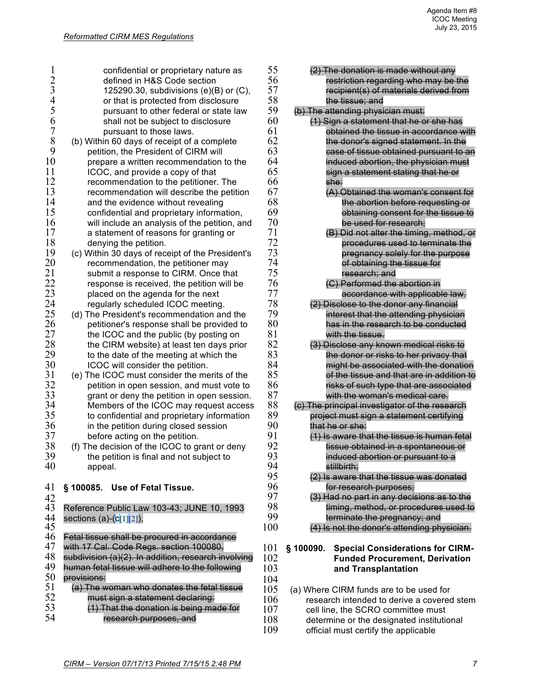|                | confidential or proprietary nature as               | 55  | (2) The donation is made without any                                         |
|----------------|-----------------------------------------------------|-----|------------------------------------------------------------------------------|
| $\overline{c}$ | defined in H&S Code section                         | 56  | restriction regarding who may be the                                         |
| 3              | 125290.30, subdivisions $(e)(B)$ or $(C)$ ,         | 57  | recipient(s) of materials derived from                                       |
| $\overline{4}$ | or that is protected from disclosure                | 58  | the tissue; and                                                              |
| 5              | pursuant to other federal or state law              | 59  | (b) The attending physician must:                                            |
| 6              | shall not be subject to disclosure                  | 60  | (1) Sign a statement that he or she has                                      |
| $\overline{7}$ | pursuant to those laws.                             | 61  | obtained the tissue in accordance with                                       |
| 8              | (b) Within 60 days of receipt of a complete         | 62  | the donor's signed statement. In the                                         |
| 9              | petition, the President of CIRM will                | 63  | case of tissue obtained pursuant to an                                       |
| 10             | prepare a written recommendation to the             | 64  | induced abortion, the physician must                                         |
| 11             | ICOC, and provide a copy of that                    | 65  | sign a statement stating that he or                                          |
| 12             | recommendation to the petitioner. The               | 66  | she:                                                                         |
| 13             | recommendation will describe the petition           | 67  | (A) Obtained the woman's consent for                                         |
| 14             | and the evidence without revealing                  | 68  | the abortion before requesting or                                            |
| 15             |                                                     | 69  |                                                                              |
| 16             | confidential and proprietary information,           | 70  | obtaining consent for the tissue to                                          |
| 17             | will include an analysis of the petition, and       | 71  | be used for research;                                                        |
| 18             | a statement of reasons for granting or              | 72  | (B) Did not alter the timing, method, or<br>procedures used to terminate the |
|                | denying the petition.                               | 73  |                                                                              |
| 19<br>20       | (c) Within 30 days of receipt of the President's    | 74  | pregnancy solely for the purpose                                             |
|                | recommendation, the petitioner may                  | 75  | of obtaining the tissue for                                                  |
| 21             | submit a response to CIRM. Once that                |     | research; and                                                                |
| 22             | response is received, the petition will be          | 76  | (C) Performed the abortion in                                                |
| 23             | placed on the agenda for the next                   | 77  | accordance with applicable law.                                              |
| 24             | regularly scheduled ICOC meeting.                   | 78  | (2) Disclose to the donor any financial                                      |
| 25             | (d) The President's recommendation and the          | 79  | interest that the attending physician                                        |
| 26             | petitioner's response shall be provided to          | 80  | has in the research to be conducted                                          |
| 27             | the ICOC and the public (by posting on              | 81  | with the tissue.                                                             |
| 28             | the CIRM website) at least ten days prior           | 82  | (3) Disclose any known medical risks to                                      |
| 29             | to the date of the meeting at which the             | 83  | the donor or risks to her privacy that                                       |
| 30             | ICOC will consider the petition.                    | 84  | might be associated with the donation                                        |
| 31             | (e) The ICOC must consider the merits of the        | 85  | of the tissue and that are in addition to                                    |
| 32             | petition in open session, and must vote to          | 86  | risks of such type that are associated                                       |
| 33             | grant or deny the petition in open session.         | 87  | with the woman's medical care.                                               |
| 34             | Members of the ICOC may request access              | 88  | (c) The principal investigator of the research                               |
| 35             | to confidential and proprietary information         | 89  | project must sign a statement certifying                                     |
| 36             | in the petition during closed session               | 90  | that he or she:                                                              |
| 37             | before acting on the petition.                      | 91  | (1) Is aware that the tissue is human fetal                                  |
| 38             | (f) The decision of the ICOC to grant or deny       | 92  | tissue obtained in a spontaneous or                                          |
| 39             | the petition is final and not subject to            | 93  | induced abortion or pursuant to a                                            |
| 40             | appeal.                                             | 94  | stillbirth;                                                                  |
|                |                                                     | 95  | (2) Is aware that the tissue was donated                                     |
| 41             | § 100085. Use of Fetal Tissue.                      | 96  | for research purposes;                                                       |
| 42             |                                                     | 97  | (3) Had no part in any decisions as to the                                   |
| 43             | Reference Public Law 103-43; JUNE 10, 1993          | 98  | timing, method, or procedures used to                                        |
| 44             | sections (a)- $(c[1][2]),$                          | 99  | terminate the pregnancy; and                                                 |
| 45             |                                                     | 100 | (4) Is not the donor's attending physician.                                  |
| 46             | Fetal tissue shall be procured in accordance        |     |                                                                              |
| 47             | with 17 Cal. Code Regs. section 100080,             | 101 | \$100090.<br><b>Special Considerations for CIRM-</b>                         |
| 48             | subdivision (a)(2). In addition, research involving | 102 | <b>Funded Procurement, Derivation</b>                                        |
| 49             | human fetal tissue will adhere to the following     | 103 | and Transplantation                                                          |
| 50             | provisions:                                         | 104 |                                                                              |
| 51             | (a) The woman who donates the fetal tissue          | 105 | (a) Where CIRM funds are to be used for                                      |
| 52             | must sign a statement declaring:                    | 106 | research intended to derive a covered stem                                   |
| 53             | (1) That the donation is being made for             | 107 | cell line, the SCRO committee must                                           |
| 54             | research purposes, and                              | 108 | determine or the designated institutional                                    |
|                |                                                     | 109 | official must certify the applicable                                         |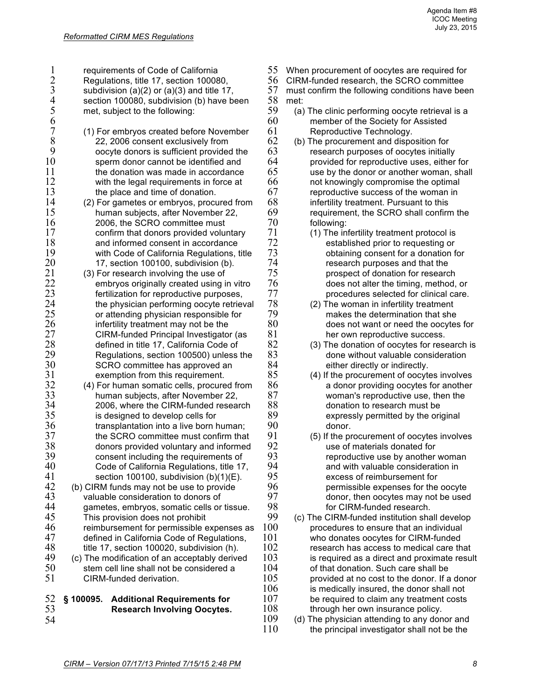1 requirements of Code of California<br>2 Regulations, title 17, section 10008<br>3 subdivision (a)(2) or (a)(3) and title 2 Regulations, title 17, section 100080,  $\frac{3}{4}$  subdivision (a)(2) or (a)(3) and title 17,<br>4 section 100080, subdivision (b) have b 4 section 100080, subdivision (b) have been<br>5 met, subject to the following: met, subject to the following: 6 7 (1) For embryos created before November<br>8 22, 2006 consent exclusively from 8 22, 2006 consent exclusively from 9 oocyte donors is sufficient provided the<br>10 sperm donor cannot be identified and 10 sperm donor cannot be identified and<br>11 the donation was made in accordance  $11$  the donation was made in accordance<br> $12$  with the legal requirements in force at 12 with the legal requirements in force at 13 by the place and time of donation. 13 the place and time of donation.<br>14 (2) For gametes or embryos, proce 14 (2) For gametes or embryos, procured from<br>15 human subiects, after November 22. human subjects, after November 22, 16 2006, the SCRO committee must<br>17 confirm that donors provided volu 17 confirm that donors provided voluntary<br>18 and informed consent in accordance 18 and informed consent in accordance<br>19 with Code of California Regulations 19 with Code of California Regulations, title<br>20 17. section 100100. subdivision (b).  $20$  17, section 100100, subdivision (b).<br> $21$  (3) For research involving the use of  $21$  (3) For research involving the use of  $22$  embryos originally created using i  $22$  embryos originally created using in vitro<br> $23$  fertilization for reproductive purposes.  $23$  fertilization for reproductive purposes,<br>24 file physician performing oocyte retries  $24$  the physician performing oocyte retrieval<br> $25$  or attending physician responsible for  $25$  or attending physician responsible for<br> $26$  infertility treatment may not be the 26 infertility treatment may not be the 27 CIRM-funded Principal Investigator (as<br>28 defined in title 17. California Code of 28 defined in title 17, California Code of<br>29 Regulations, section 100500) unless 29 Regulations, section 100500) unless the<br>30 SCRO committee has approved an 30 SCRO committee has approved an<br>31 exemption from this requirement. exemption from this requirement. 32 (4) For human somatic cells, procured from<br>33 human subiects, after November 22. 33 human subjects, after November 22,<br>34 2006, where the CIRM-funded resear  $34$  2006, where the CIRM-funded research<br> $35$  is designed to develop cells for 35 is designed to develop cells for<br>36 **interest to the form** that the form that the born to a live born to a live born to a live born to a live born to a live born to a live born to a live born to a live born to a live bo 36 transplantation into a live born human;<br>37 the SCRO committee must confirm that the SCRO committee must confirm that 38 donors provided voluntary and informed<br>39 consent including the requirements of 39 **consent including the requirements of** 40 **consent including the requirements of** 40 40 Code of California Regulations, title 17,<br>41 section 100100, subdivision (b)(1)(F). 41 section 100100, subdivision  $(b)(1)(E)$ .<br>42 (b) CIRM funds may not be use to provide 42 (b) CIRM funds may not be use to provide<br>43 valuable consideration to donors of 43 valuable consideration to donors of<br>44 oametes, embryos, somatic cells or 44 gametes, embryos, somatic cells or tissue.<br>45 This provision does not probibit This provision does not prohibit 46 reimbursement for permissible expenses as<br>47 refined in California Code of Regulations 47 defined in California Code of Regulations,<br>48 title 17 section 100020 subdivision (b) 48 title 17, section 100020, subdivision (h).<br>49 (c) The modification of an acceptably derive  $49$  (c) The modification of an acceptably derived  $50$  stem cell line shall not be considered a 50 stem cell line shall not be considered a<br>51 CIRM-funded derivation CIRM-funded derivation. 52 **§ 100095. Additional Requirements for**  53 **Research Involving Oocytes.** 54

- 55 When procurement of oocytes are required for
- 56 CIRM-funded research, the SCRO committee<br>57 must confirm the following conditions have bee
- must confirm the following conditions have been 58 met:<br>59 (a)
- 59 (a) The clinic performing oocyte retrieval is a<br> $60$  member of the Society for Assisted member of the Society for Assisted 61 Reproductive Technology.<br>62 (b) The procurement and dispo
- $62$  (b) The procurement and disposition for<br> $63$  research purposes of oocytes initially 63 research purposes of oocytes initially<br>64 rovided for reproductive uses, either 64 provided for reproductive uses, either for<br>65 use by the donor or another woman, shall  $65$  use by the donor or another woman, shall  $66$  not knowingly compromise the optimal not knowingly compromise the optimal 67 reproductive success of the woman in<br>68 infertility treatment. Pursuant to this 68 infertility treatment. Pursuant to this<br>69 requirement the SCRO shall confirm  $69$  requirement, the SCRO shall confirm the  $70$  following: 70 following:<br>71 (1) The in
- 71 (1) The infertility treatment protocol is<br>72 established prior to requesting or T2 established prior to requesting or<br>T3 botaining consent for a donation f 73 obtaining consent for a donation for<br>74 research purposes and that the 74 research purposes and that the<br>75 research or prospect of donation for researc 75 prospect of donation for research<br>76 does not alter the timing, method. 76 does not alter the timing, method, or
- $77$  procedures selected for clinical care.<br> $78$  (2) The woman in infertility treatment  $78$  (2) The woman in infertility treatment<br> $79$  makes the determination that she 79 makes the determination that she<br>80 does not want or need the oocytes 80 does not want or need the oocytes for<br>81 her own reproductive success 81 her own reproductive success.<br>82 (3) The donation of oocytes for rese
- $82$  (3) The donation of oocytes for research is  $83$  done without valuable consideration 83 done without valuable consideration<br>84 either directly or indirectly. 84 either directly or indirectly.<br>85 (4) If the procurement of oocyte
- (4) If the procurement of oocytes involves 86 **a** donor providing oocytes for another<br>87 **because woman's reproductive use**, then the 87 woman's reproductive use, then the<br>88 donation to research must be 88 donation to research must be<br>89 expressly permitted by the ori  $89$  expressly permitted by the original  $90$
- 90 donor.<br>91 (5) If the pr (5) If the procurement of oocytes involves 92 use of materials donated for<br>93 meproductive use by another 93 reproductive use by another woman<br>94 and with valuable consideration in 94 and with valuable consideration in<br>95 excess of reimbursement for 95 excess of reimbursement for<br>96 **expenses** for the permissible expenses for the 96 **permissible expenses for the oocyte**<br>97 **begine only donor, then oocytes may not be used** 97 donor, then oocytes may not be used<br>98 for CIRM-funded research.
- 98 for CIRM-funded research.<br>99 (c) The CIRM-funded institution sha 99 (c) The CIRM-funded institution shall develop  $100$  procedures to ensure that an individual procedures to ensure that an individual 101 who donates oocytes for CIRM-funded<br>102 research has access to medical care th research has access to medical care that  $103$  is required as a direct and proximate result  $104$  of that donation. Such care shall be 104 of that donation. Such care shall be 105 or provided at no cost to the donor. If a  $105$  provided at no cost to the donor. If a donor  $106$  is medically insured, the donor shall not 106 is medically insured, the donor shall not 107 be required to claim any treatment costs 107 be required to claim any treatment costs<br>108 through her own insurance policy. 108 through her own insurance policy.<br>109 (d) The physician attending to any don
- 109 (d) The physician attending to any donor and 110 the principal investigator shall not be the the principal investigator shall not be the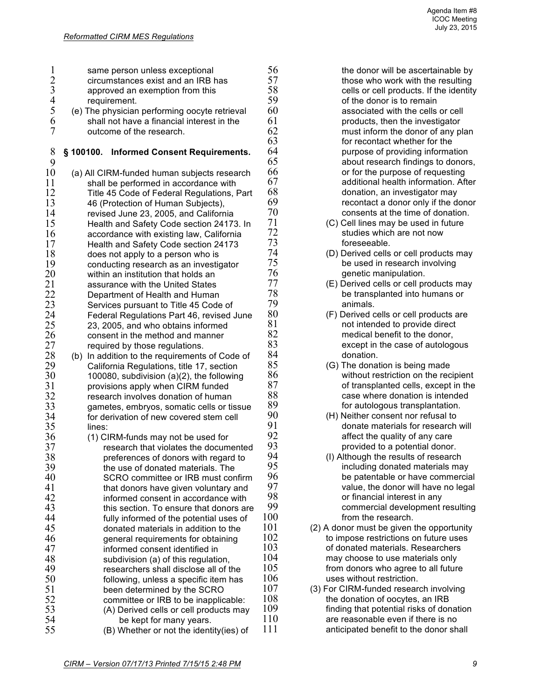| $\mathbf{1}$      |     | same person unless exceptional                                                          | 56       |
|-------------------|-----|-----------------------------------------------------------------------------------------|----------|
|                   |     | circumstances exist and an IRB has                                                      | 57       |
| $\frac{2}{3}$ 4 5 |     | approved an exemption from this                                                         | 58       |
|                   |     | requirement.                                                                            | 59       |
|                   |     | (e) The physician performing oocyte retrieval                                           | 60       |
| 6                 |     | shall not have a financial interest in the                                              | 61       |
| $\overline{7}$    |     | outcome of the research.                                                                | 62       |
|                   |     |                                                                                         | 63       |
| 8                 |     | § 100100. Informed Consent Requirements.                                                | 64       |
| 9                 |     |                                                                                         | 65<br>66 |
| 10<br>11          |     | (a) All CIRM-funded human subjects research                                             | 67       |
| 12                |     | shall be performed in accordance with                                                   | 68       |
| 13                |     | Title 45 Code of Federal Regulations, Part<br>46 (Protection of Human Subjects),        | 69       |
| 14                |     | revised June 23, 2005, and California                                                   | 70       |
| 15                |     | Health and Safety Code section 24173. In                                                | 71       |
| 16                |     | accordance with existing law, California                                                | 72       |
| 17                |     | Health and Safety Code section 24173                                                    | 73       |
| 18                |     | does not apply to a person who is                                                       | 74       |
| 19                |     | conducting research as an investigator                                                  | 75       |
| 20                |     | within an institution that holds an                                                     | 76       |
| 21                |     | assurance with the United States                                                        | 77       |
| 22                |     | Department of Health and Human                                                          | 78       |
| 23                |     | Services pursuant to Title 45 Code of                                                   | 79       |
| 24                |     | Federal Regulations Part 46, revised June                                               | 80       |
| 25                |     | 23, 2005, and who obtains informed                                                      | 81       |
| 26                |     | consent in the method and manner                                                        | 82<br>83 |
| 27<br>28          |     | required by those regulations.                                                          | 84       |
| 29                | (b) | In addition to the requirements of Code of<br>California Regulations, title 17, section | 85       |
| 30                |     | 100080, subdivision (a)(2), the following                                               | 86       |
| 31                |     | provisions apply when CIRM funded                                                       | 87       |
| 32                |     | research involves donation of human                                                     | 88       |
| 33                |     | gametes, embryos, somatic cells or tissue                                               | 89       |
| 34                |     | for derivation of new covered stem cell                                                 | 90       |
| 35                |     | lines:                                                                                  | 91       |
| 36                |     | (1) CIRM-funds may not be used for                                                      | 92       |
| 37                |     | research that violates the documented                                                   | 93       |
| 38                |     | preferences of donors with regard to                                                    | 94       |
| 39                |     | the use of donated materials. The                                                       | 95       |
| 40                |     | SCRO committee or IRB must confirm                                                      | 96<br>97 |
| 41<br>42          |     | that donors have given voluntary and                                                    | 98       |
| 43                |     | informed consent in accordance with<br>this section. To ensure that donors are          | 99       |
| 44                |     | fully informed of the potential uses of                                                 | 100      |
| 45                |     | donated materials in addition to the                                                    | 101      |
| 46                |     | general requirements for obtaining                                                      | 102      |
| 47                |     | informed consent identified in                                                          | 103      |
| 48                |     | subdivision (a) of this regulation,                                                     | 104      |
| 49                |     | researchers shall disclose all of the                                                   | 105      |
| 50                |     | following, unless a specific item has                                                   | 106      |
| 51                |     | been determined by the SCRO                                                             | 107      |
| 52                |     | committee or IRB to be inapplicable:                                                    | 108      |
| 53                |     | (A) Derived cells or cell products may                                                  | 109      |
| 54                |     | be kept for many years.                                                                 | 110      |
| 55                |     | (B) Whether or not the identity(ies) of                                                 | 111      |

the donor will be ascertainable by those who work with the resulting cells or cell products. If the identity of the donor is to remain associated with the cells or cell products, then the investigator must inform the donor of any plan for recontact whether for the purpose of providing information about research findings to donors, or for the purpose of requesting additional health information. After donation, an investigator may recontact a donor only if the donor consents at the time of donation.

- (C) Cell lines may be used in future studies which are not now foreseeable.
- (D) Derived cells or cell products may be used in research involving genetic manipulation.
- (E) Derived cells or cell products may be transplanted into humans or animals
- (F) Derived cells or cell products are not intended to provide direct medical benefit to the donor, except in the case of autologous donation.
- (G) The donation is being made without restriction on the recipient of transplanted cells, except in the case where donation is intended for autologous transplantation.
- (H) Neither consent nor refusal to donate materials for research will affect the quality of any care provided to a potential donor.
- (I) Although the results of research including donated materials may be patentable or have commercial value, the donor will have no legal or financial interest in any commercial development resulting from the research.
- $(2)$  A donor must be given the opportunity to impose restrictions on future uses of donated materials. Researchers may choose to use materials only from donors who agree to all future uses without restriction.
- (3) For CIRM-funded research involving the donation of oocytes, an IRB finding that potential risks of donation are reasonable even if there is no anticipated benefit to the donor shall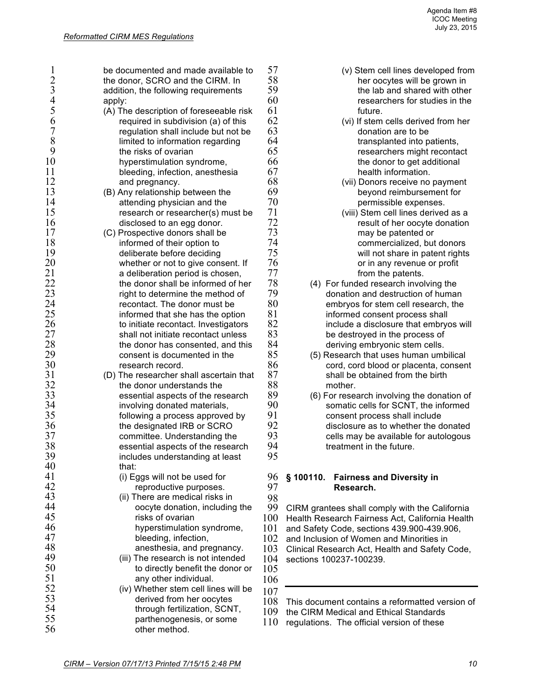| 1                                     | be documented and made available to                                    | 57       | (v) Stem cell lines developed from                         |
|---------------------------------------|------------------------------------------------------------------------|----------|------------------------------------------------------------|
| $\frac{2}{3}$                         | the donor, SCRO and the CIRM. In                                       | 58       | her oocytes will be grown in                               |
|                                       | addition, the following requirements                                   | 59       | the lab and shared with other                              |
| $\overline{4}$                        | apply:                                                                 | 60       | researchers for studies in the                             |
| 5                                     | (A) The description of foreseeable risk                                | 61       | future.                                                    |
| 6                                     | required in subdivision (a) of this                                    | 62       | (vi) If stem cells derived from her                        |
| $\begin{array}{c} 7 \\ 8 \end{array}$ | regulation shall include but not be                                    | 63       | donation are to be                                         |
|                                       | limited to information regarding                                       | 64       | transplanted into patients,                                |
| 9                                     | the risks of ovarian                                                   | 65       | researchers might recontact                                |
| 10                                    | hyperstimulation syndrome,                                             | 66       | the donor to get additional                                |
| 11                                    | bleeding, infection, anesthesia                                        | 67       | health information.                                        |
| 12                                    | and pregnancy.                                                         | 68       | (vii) Donors receive no payment                            |
| 13                                    | (B) Any relationship between the                                       | 69       | beyond reimbursement for                                   |
| 14                                    | attending physician and the                                            | 70       | permissible expenses.                                      |
| 15                                    | research or researcher(s) must be                                      | 71       | (viii) Stem cell lines derived as a                        |
| 16                                    | disclosed to an egg donor.                                             | 72<br>73 | result of her oocyte donation                              |
| 17                                    | (C) Prospective donors shall be                                        |          | may be patented or                                         |
| 18                                    | informed of their option to                                            | 74       | commercialized, but donors                                 |
| 19<br>20                              | deliberate before deciding                                             | 75<br>76 | will not share in patent rights                            |
| 21                                    | whether or not to give consent. If                                     | 77       | or in any revenue or profit                                |
| 22                                    | a deliberation period is chosen,<br>the donor shall be informed of her | 78       | from the patents.<br>(4) For funded research involving the |
| 23                                    | right to determine the method of                                       | 79       | donation and destruction of human                          |
| 24                                    | recontact. The donor must be                                           | 80       | embryos for stem cell research, the                        |
| 25                                    | informed that she has the option                                       | 81       | informed consent process shall                             |
| 26                                    | to initiate recontact. Investigators                                   | 82       | include a disclosure that embryos will                     |
| 27                                    | shall not initiate recontact unless                                    | 83       | be destroyed in the process of                             |
| 28                                    | the donor has consented, and this                                      | 84       | deriving embryonic stem cells.                             |
| 29                                    | consent is documented in the                                           | 85       | (5) Research that uses human umbilical                     |
| 30                                    | research record.                                                       | 86       | cord, cord blood or placenta, consent                      |
| 31                                    | (D) The researcher shall ascertain that                                | 87       | shall be obtained from the birth                           |
| 32                                    | the donor understands the                                              | 88       | mother.                                                    |
| 33                                    | essential aspects of the research                                      | 89       | (6) For research involving the donation of                 |
| 34                                    | involving donated materials,                                           | 90       | somatic cells for SCNT, the informed                       |
| 35                                    | following a process approved by                                        | 91       | consent process shall include                              |
| 36                                    | the designated IRB or SCRO                                             | 92       | disclosure as to whether the donated                       |
| 37                                    | committee. Understanding the                                           | 93       | cells may be available for autologous                      |
| 38                                    | essential aspects of the research                                      | 94       | treatment in the future.                                   |
| 39                                    | includes understanding at least                                        | 95       |                                                            |
| 40                                    | that:                                                                  |          |                                                            |
| 41                                    | (i) Eggs will not be used for                                          | 96       | § 100110.<br><b>Fairness and Diversity in</b>              |
| 42                                    | reproductive purposes.                                                 | 97       | Research.                                                  |
| 43                                    | (ii) There are medical risks in                                        | 98       |                                                            |
| 44                                    | oocyte donation, including the                                         | 99       | CIRM grantees shall comply with the California             |
| 45                                    | risks of ovarian                                                       | 100      | Health Research Fairness Act, California Health            |
| 46                                    | hyperstimulation syndrome,                                             | 101      | and Safety Code, sections 439.900-439.906,                 |
| 47                                    | bleeding, infection,                                                   | 102      | and Inclusion of Women and Minorities in                   |
| 48                                    | anesthesia, and pregnancy.                                             | 103      | Clinical Research Act, Health and Safety Code,             |
| 49                                    | (iii) The research is not intended                                     | 104      | sections 100237-100239.                                    |
| 50                                    | to directly benefit the donor or                                       | 105      |                                                            |
| 51                                    | any other individual.                                                  | 106      |                                                            |
| 52                                    | (iv) Whether stem cell lines will be                                   | 107      |                                                            |
| 53                                    | derived from her oocytes                                               | 108      | This document contains a reformatted version of            |
| 54                                    | through fertilization, SCNT,                                           | 109      | the CIRM Medical and Ethical Standards                     |
| 55                                    | parthenogenesis, or some                                               | 110      | regulations. The official version of these                 |
| 56                                    | other method.                                                          |          |                                                            |